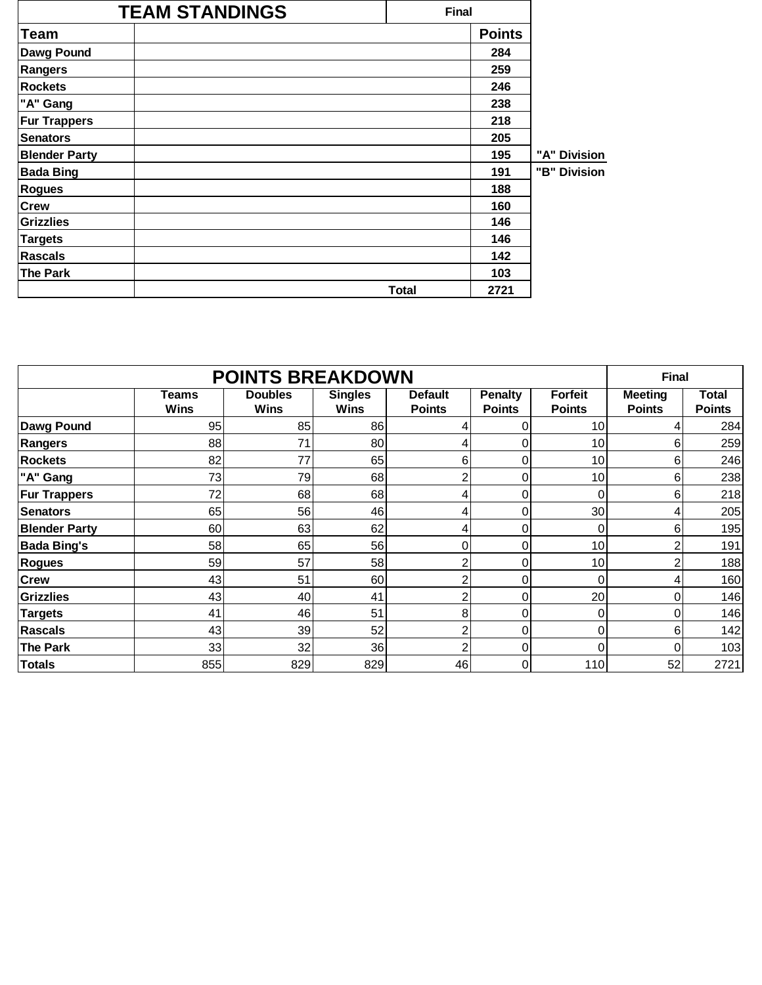|                      | <b>TEAM STANDINGS</b> | <b>Final</b> |               |              |
|----------------------|-----------------------|--------------|---------------|--------------|
| Team                 |                       |              | <b>Points</b> |              |
| Dawg Pound           |                       |              | 284           |              |
| Rangers              |                       |              | 259           |              |
| <b>Rockets</b>       |                       |              | 246           |              |
| "A" Gang             |                       |              | 238           |              |
| <b>Fur Trappers</b>  |                       |              | 218           |              |
| <b>Senators</b>      |                       |              | 205           |              |
| <b>Blender Party</b> |                       |              | 195           | "A" Division |
| <b>Bada Bing</b>     |                       |              | 191           | "B" Division |
| <b>Rogues</b>        |                       |              | 188           |              |
| <b>Crew</b>          |                       |              | 160           |              |
| <b>Grizzlies</b>     |                       |              | 146           |              |
| <b>Targets</b>       |                       |              | 146           |              |
| Rascals              |                       |              | 142           |              |
| <b>The Park</b>      |                       |              | 103           |              |
|                      |                       | <b>Total</b> | 2721          |              |

|                      | <b>POINTS BREAKDOWN</b>     |                               |                               |                                 |                                 |                                 |                                 |                               |  |  |  |  |
|----------------------|-----------------------------|-------------------------------|-------------------------------|---------------------------------|---------------------------------|---------------------------------|---------------------------------|-------------------------------|--|--|--|--|
|                      | <b>Teams</b><br><b>Wins</b> | <b>Doubles</b><br><b>Wins</b> | <b>Singles</b><br><b>Wins</b> | <b>Default</b><br><b>Points</b> | <b>Penalty</b><br><b>Points</b> | <b>Forfeit</b><br><b>Points</b> | <b>Meeting</b><br><b>Points</b> | <b>Total</b><br><b>Points</b> |  |  |  |  |
| Dawg Pound           | 95                          | 85                            | 86                            | 4.                              | 0                               | 10                              | 4                               | 284                           |  |  |  |  |
| <b>Rangers</b>       | 88                          | 71                            | 80                            | 4                               | 0                               | 10                              | 6                               | 259                           |  |  |  |  |
| <b>Rockets</b>       | 82                          | 77                            | 65                            | 6                               | 0                               | 10                              | 6                               | 246                           |  |  |  |  |
| "A" Gang             | 73                          | 79                            | 68                            | $\overline{c}$                  | 0                               | 10                              | 6                               | 238                           |  |  |  |  |
| <b>Fur Trappers</b>  | 72                          | 68                            | 68                            | 4                               | 0                               | 0                               | 6                               | 218                           |  |  |  |  |
| <b>Senators</b>      | 65                          | 56                            | 46                            | 4                               | 0                               | 30                              | 4                               | 205                           |  |  |  |  |
| <b>Blender Party</b> | 60                          | 63                            | 62                            | 4                               | 0                               | 0                               | 6                               | 195                           |  |  |  |  |
| <b>Bada Bing's</b>   | 58                          | 65                            | 56                            | 0                               | 0                               | 10                              | 2                               | 191                           |  |  |  |  |
| <b>Rogues</b>        | 59                          | 57                            | 58                            | $\overline{2}$                  | 0                               | 10                              | $\overline{c}$                  | 188                           |  |  |  |  |
| <b>Crew</b>          | 43                          | 51                            | 60                            | $\overline{c}$                  | 0                               | 0                               | 4                               | 160                           |  |  |  |  |
| <b>Grizzlies</b>     | 43                          | 40                            | 41                            | 2                               | 0                               | 20                              | 0                               | 146                           |  |  |  |  |
| <b>Targets</b>       | 41                          | 46                            | 51                            | 8                               | 0                               | 0                               | 0                               | 146                           |  |  |  |  |
| <b>Rascals</b>       | 43                          | 39                            | 52                            | 2                               | 0                               | 0                               | 6                               | 142                           |  |  |  |  |
| <b>The Park</b>      | 33                          | 32                            | 36                            | 2                               | 0                               | 0                               | 0                               | 103                           |  |  |  |  |
| Totals               | 855                         | 829                           | 829                           | 46                              | 0                               | 110                             | 52                              | 2721                          |  |  |  |  |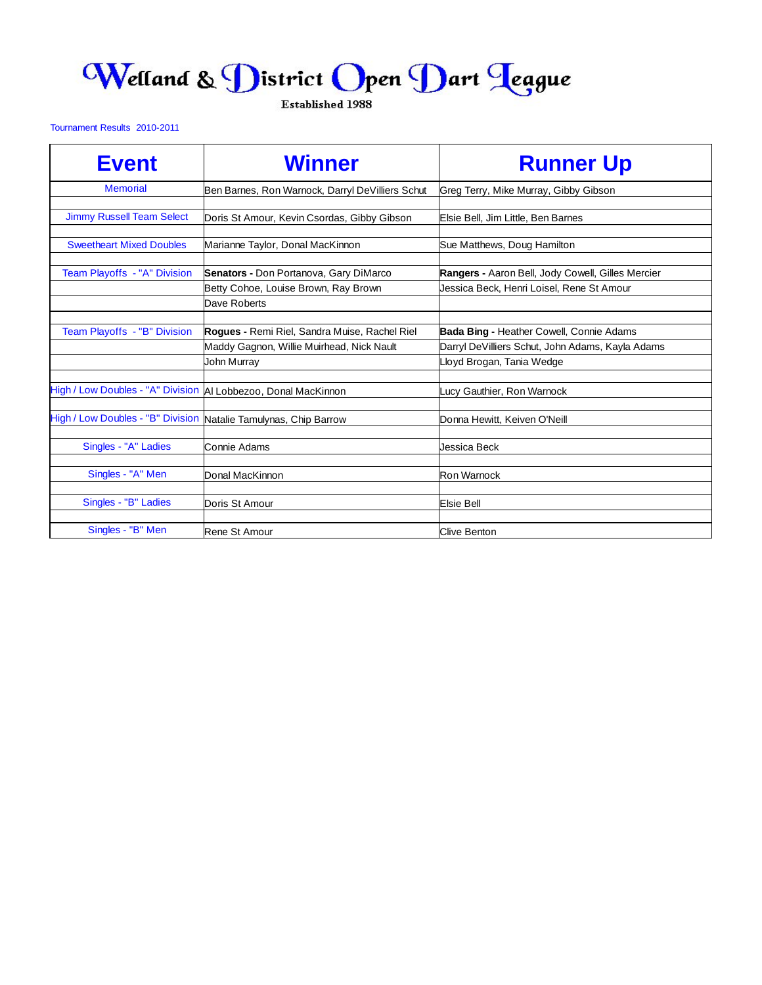## Welland & District Open Dart Teague

Established 1988

## Tournament Results 2010-2011

| <b>Event</b>                      | <b>Winner</b>                                            | <b>Runner Up</b>                                                              |
|-----------------------------------|----------------------------------------------------------|-------------------------------------------------------------------------------|
| <b>Memorial</b>                   | Ben Barnes, Ron Warnock, Darryl DeVilliers Schut         | Greg Terry, Mike Murray, Gibby Gibson                                         |
| <b>Jimmy Russell Team Select</b>  | Doris St Amour, Kevin Csordas, Gibby Gibson              | Elsie Bell, Jim Little, Ben Barnes                                            |
| <b>Sweetheart Mixed Doubles</b>   | Marianne Taylor, Donal MacKinnon                         | Sue Matthews, Doug Hamilton                                                   |
| Team Playoffs - "A" Division      | Senators - Don Portanova, Gary DiMarco                   | Rangers - Aaron Bell, Jody Cowell, Gilles Mercier                             |
|                                   | Betty Cohoe, Louise Brown, Ray Brown<br>Dave Roberts     | Jessica Beck, Henri Loisel, Rene St Amour                                     |
| Team Playoffs - "B" Division      | Rogues - Remi Riel, Sandra Muise, Rachel Riel            | <b>Bada Bing - Heather Cowell, Connie Adams</b>                               |
|                                   | Maddy Gagnon, Willie Muirhead, Nick Nault<br>John Murray | Darryl DeVilliers Schut, John Adams, Kayla Adams<br>Lloyd Brogan, Tania Wedge |
|                                   |                                                          |                                                                               |
| High / Low Doubles - "A" Division | Al Lobbezoo, Donal MacKinnon                             | Lucy Gauthier, Ron Warnock                                                    |
| High / Low Doubles - "B" Division | Natalie Tamulynas, Chip Barrow                           | Donna Hewitt, Keiven O'Neill                                                  |
| Singles - "A" Ladies              | Connie Adams                                             | Jessica Beck                                                                  |
| Singles - "A" Men                 | Donal MacKinnon                                          | <b>Ron Warnock</b>                                                            |
| Singles - "B" Ladies              | Doris St Amour                                           | <b>Elsie Bell</b>                                                             |
| Singles - "B" Men                 | Rene St Amour                                            | <b>Clive Benton</b>                                                           |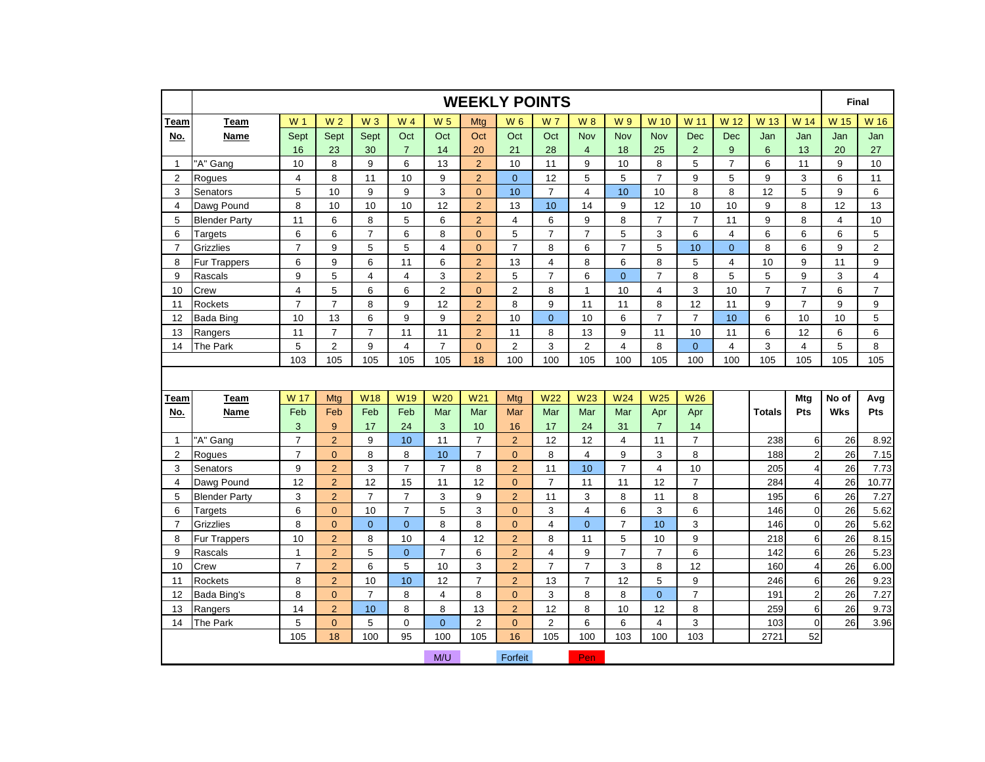|                |                      |                |                |                |                         |                         |                 |                | <b>WEEKLY POINTS</b> |                |                 |                 |                  |                |                |                         | Final          |                  |
|----------------|----------------------|----------------|----------------|----------------|-------------------------|-------------------------|-----------------|----------------|----------------------|----------------|-----------------|-----------------|------------------|----------------|----------------|-------------------------|----------------|------------------|
| Team           | Team                 | W 1            | W <sub>2</sub> | $W_3$          | W 4                     | <b>W<sub>5</sub></b>    | Mtg             | <b>W6</b>      | W 7                  | <b>W8</b>      | W 9             | W 10            | W 11             | W 12           | W 13           | W 14                    | W 15           | W 16             |
| <u>No.</u>     | <b>Name</b>          | Sept           | Sept           | Sept           | Oct                     | Oct                     | Oct             | Oct            | Oct                  | <b>Nov</b>     | <b>Nov</b>      | <b>Nov</b>      | <b>Dec</b>       | <b>Dec</b>     | Jan            | Jan                     | Jan            | Jan              |
|                |                      | 16             | 23             | 30             | $\overline{7}$          | 14                      | 20              | 21             | 28                   | $\overline{4}$ | 18              | 25              | $\overline{2}$   | 9              | 6              | 13                      | 20             | 27               |
| $\mathbf{1}$   | "A" Gang             | 10             | 8              | 9              | 6                       | 13                      | $\overline{2}$  | 10             | 11                   | 9              | 10              | 8               | 5                | $\overline{7}$ | 6              | 11                      | 9              | 10               |
| $\overline{2}$ | Roques               | $\overline{4}$ | 8              | 11             | 10                      | 9                       | $\overline{2}$  | $\overline{0}$ | 12                   | 5              | 5               | $\overline{7}$  | 9                | 5              | 9              | 3                       | 6              | 11               |
| 3              | Senators             | 5              | 10             | 9              | 9                       | 3                       | $\pmb{0}$       | 10             | $\overline{7}$       | 4              | 10              | 10              | 8                | 8              | 12             | 5                       | 9              | 6                |
| 4              | Dawg Pound           | 8              | 10             | 10             | 10                      | 12                      | $\overline{2}$  | 13             | 10                   | 14             | 9               | 12              | 10               | 10             | 9              | 8                       | 12             | 13               |
| 5              | <b>Blender Party</b> | 11             | 6              | 8              | 5                       | 6                       | $\overline{2}$  | $\overline{4}$ | 6                    | 9              | 8               | $\overline{7}$  | $\overline{7}$   | 11             | 9              | 8                       | $\overline{4}$ | 10               |
| 6              | <b>Targets</b>       | 6              | 6              | $\overline{7}$ | 6                       | 8                       | $\pmb{0}$       | 5              | $\overline{7}$       | $\overline{7}$ | 5               | 3               | 6                | $\overline{4}$ | 6              | 6                       | 6              | $\mathbf 5$      |
| $\overline{7}$ | <b>Grizzlies</b>     | $\overline{7}$ | 9              | 5              | 5                       | $\overline{\mathbf{4}}$ | $\pmb{0}$       | $\overline{7}$ | 8                    | 6              | $\overline{7}$  | 5               | 10               | $\mathbf 0$    | 8              | 6                       | 9              | $\boldsymbol{2}$ |
| 8              | <b>Fur Trappers</b>  | 6              | 9              | 6              | 11                      | 6                       | $\overline{c}$  | 13             | 4                    | 8              | 6               | 8               | 5                | 4              | 10             | 9                       | 11             | $\boldsymbol{9}$ |
| 9              | Rascals              | 9              | 5              | $\overline{4}$ | $\overline{\mathbf{4}}$ | 3                       | $\overline{2}$  | $\sqrt{5}$     | $\overline{7}$       | 6              | $\overline{0}$  | $\overline{7}$  | 8                | 5              | $\overline{5}$ | 9                       | 3              | $\overline{4}$   |
| 10             | Crew                 | $\overline{4}$ | 5              | 6              | 6                       | $\overline{c}$          | $\overline{0}$  | $\overline{2}$ | 8                    | $\mathbf{1}$   | 10              | $\overline{4}$  | 3                | 10             | $\overline{7}$ | $\overline{7}$          | 6              | $\overline{7}$   |
| 11             | <b>Rockets</b>       | $\overline{7}$ | $\overline{7}$ | 8              | 9                       | 12                      | $\overline{2}$  | 8              | 9                    | 11             | 11              | 8               | 12               | 11             | 9              | $\overline{7}$          | 9              | $\boldsymbol{9}$ |
| 12             | <b>Bada Bing</b>     | 10             | 13             | 6              | 9                       | 9                       | $\overline{2}$  | 10             | $\mathbf{0}$         | 10             | $6\phantom{1}6$ | $\overline{7}$  | $\overline{7}$   | 10             | 6              | 10                      | 10             | $\sqrt{5}$       |
| 13             | Rangers              | 11             | $\overline{7}$ | $\overline{7}$ | 11                      | 11                      | $\overline{2}$  | 11             | 8                    | 13             | 9               | 11              | 10               | 11             | 6              | 12                      | 6              | 6                |
| 14             | The Park             | 5              | $\overline{2}$ | 9              | 4                       | $\overline{7}$          | $\mathbf{0}$    | $\overline{c}$ | 3                    | $\overline{2}$ | $\overline{4}$  | 8               | $\overline{0}$   | $\overline{4}$ | 3              | $\overline{4}$          | 5              | 8                |
|                |                      | 103            | 105            | 105            | 105                     | 105                     | 18              | 100            | 100                  | 105            | 100             | 105             | 100              | 100            | 105            | 105                     | 105            | 105              |
|                |                      |                |                |                |                         |                         |                 |                |                      |                |                 |                 |                  |                |                |                         |                |                  |
| Team           | Team                 | W 17           | Mtg            | <b>W18</b>     | W <sub>19</sub>         | <b>W20</b>              | W <sub>21</sub> | Mtg            | <b>W22</b>           | <b>W23</b>     | W24             | W <sub>25</sub> | <b>W26</b>       |                |                | Mtg                     | No of          | Avg              |
| No.            | <b>Name</b>          | Feb            | Feb            | Feb            | Feb                     | Mar                     | Mar             | Mar            | Mar                  | Mar            | Mar             | Apr             | Apr              |                | <b>Totals</b>  | Pts                     | <b>Wks</b>     | Pts              |
|                |                      | 3              | 9              | 17             | 24                      | 3                       | 10              | 16             | 17                   | 24             | 31              | $\overline{7}$  | 14               |                |                |                         |                |                  |
| $\mathbf{1}$   | 'A" Gang             | $\overline{7}$ | $\overline{2}$ | 9              | 10                      | 11                      | $\overline{7}$  | $\overline{2}$ | 12                   | 12             | $\overline{4}$  | 11              | $\overline{7}$   |                | 238            | $6\phantom{1}$          | 26             | 8.92             |
| $\overline{2}$ | Rogues               | $\overline{7}$ | $\overline{0}$ | 8              | 8                       | 10                      | $\overline{7}$  | $\overline{0}$ | 8                    | $\overline{4}$ | 9               | 3               | 8                |                | 188            | $\overline{c}$          | 26             | 7.15             |
| 3              | Senators             | 9              | $\overline{2}$ | $\mathsf 3$    | $\overline{7}$          | $\overline{7}$          | 8               | $\overline{2}$ | 11                   | 10             | $\overline{7}$  | $\overline{4}$  | 10               |                | 205            | $\overline{\mathbf{4}}$ | 26             | 7.73             |
| 4              | Dawg Pound           | 12             | $\overline{2}$ | 12             | 15                      | 11                      | 12              | $\overline{0}$ | $\overline{7}$       | 11             | 11              | 12              | $\overline{7}$   |                | 284            | $\overline{4}$          | 26             | 10.77            |
| 5              | <b>Blender Party</b> | 3              | $\overline{2}$ | $\overline{7}$ | $\overline{7}$          | 3                       | $\mathsf g$     | $\overline{2}$ | 11                   | 3              | 8               | 11              | 8                |                | 195            | 6                       | 26             | 7.27             |
| 6              | <b>Targets</b>       | 6              | $\mathbf{0}$   | 10             | $\overline{7}$          | 5                       | 3               | $\overline{0}$ | 3                    | $\overline{4}$ | 6               | 3               | 6                |                | 146            | $\overline{0}$          | 26             | 5.62             |
| $\overline{7}$ | Grizzlies            | 8              | $\overline{0}$ | $\mathbf{0}$   | $\overline{0}$          | 8                       | 8               | $\overline{0}$ | $\overline{4}$       | $\overline{0}$ | $\overline{7}$  | 10              | 3                |                | 146            | $\mathbf{0}$            | 26             | 5.62             |
| 8              | <b>Fur Trappers</b>  | 10             | $\overline{2}$ | 8              | 10                      | $\overline{\mathbf{4}}$ | 12              | $\overline{2}$ | 8                    | 11             | 5               | 10              | $\boldsymbol{9}$ |                | 218            | $\,6\,$                 | 26             | 8.15             |
| 9              | Rascals              | $\mathbf{1}$   | $\overline{2}$ | 5              | $\overline{0}$          | $\overline{7}$          | 6               | $\overline{2}$ | $\overline{4}$       | 9              | $\overline{7}$  | $\overline{7}$  | 6                |                | 142            | 6                       | 26             | 5.23             |
| 10             | Crew                 | $\overline{7}$ | $\overline{2}$ | 6              | 5                       | 10                      | 3               | $\overline{2}$ | $\overline{7}$       | $\overline{7}$ | 3               | 8               | 12               |                | 160            | $\overline{4}$          | 26             | 6.00             |
| 11             | Rockets              | 8              | $\overline{2}$ | 10             | 10                      | 12                      | $\overline{7}$  | $\overline{2}$ | 13                   | $\overline{7}$ | 12              | 5               | 9                |                | 246            | 6                       | 26             | 9.23             |
| 12             | Bada Bing's          | 8              | $\overline{0}$ | $\overline{7}$ | 8                       | $\overline{4}$          | 8               | $\overline{0}$ | 3                    | 8              | 8               | $\overline{0}$  | $\overline{7}$   |                | 191            | $\overline{a}$          | 26             | 7.27             |
| 13             | Rangers              | 14             | $\overline{2}$ | 10             | 8                       | 8                       | 13              | $\overline{2}$ | 12                   | 8              | 10              | 12              | 8                |                | 259            | 6                       | 26             | 9.73             |
| 14             | The Park             | 5              | $\Omega$       | 5              | $\mathbf 0$             | $\Omega$                | $\overline{2}$  | $\Omega$       | 2                    | 6              | 6               | $\overline{4}$  | 3                |                | 103            | $\overline{0}$          | 26             | 3.96             |
|                |                      | 105            | 18             | 100            | 95                      | 100                     | 105             | 16             | 105                  | 100            | 103             | 100             | 103              |                | 2721           | 52                      |                |                  |
|                |                      |                |                |                |                         | M/U                     |                 | Forfeit        |                      | Pen            |                 |                 |                  |                |                |                         |                |                  |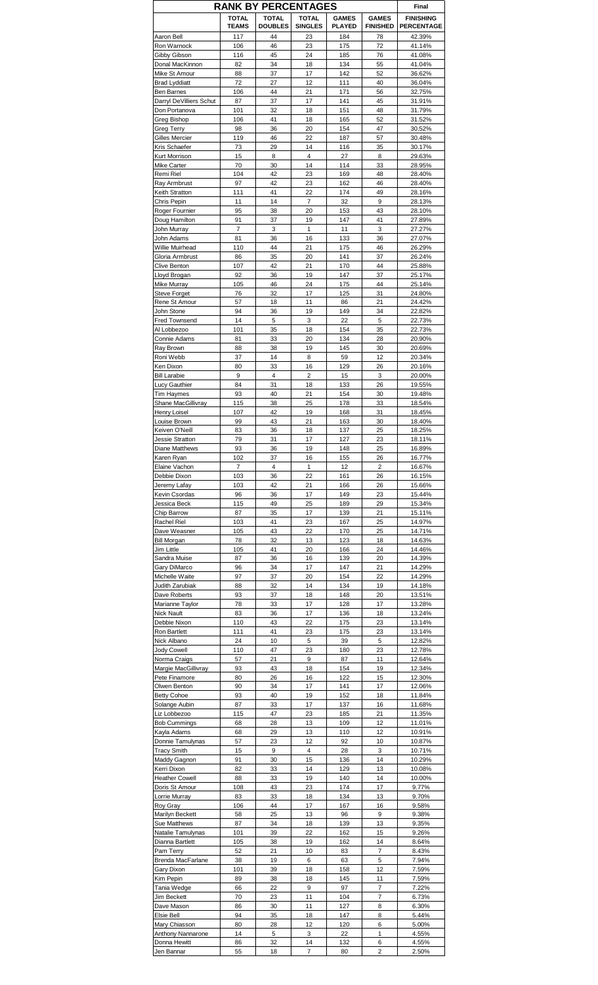|                                          |                      | <b>RANK BY PERCENTAGES</b> |                |               |                         | Final            |
|------------------------------------------|----------------------|----------------------------|----------------|---------------|-------------------------|------------------|
|                                          | <b>TOTAL</b>         | <b>TOTAL</b>               | <b>TOTAL</b>   | <b>GAMES</b>  | <b>GAMES</b>            | <b>FINISHING</b> |
|                                          | <b>TEAMS</b>         | <b>DOUBLES</b>             | <b>SINGLES</b> | <b>PLAYED</b> | <b>FINISHED</b>         | PERCENTAGE       |
| Aaron Bell                               | 117                  | 44                         | 23             | 184           | 78                      | 42.39%           |
| Ron Warnock<br>Gibby Gibson              | 106<br>116           | 46<br>45                   | 23<br>24       | 175<br>185    | 72<br>76                | 41.14%<br>41.08% |
| Donal MacKinnon                          | 82                   | 34                         | 18             | 134           | 55                      | 41.04%           |
| Mike St Amour                            | 88                   | 37                         | 17             | 142           | 52                      | 36.62%           |
| <b>Brad Lyddiatt</b>                     | 72                   | 27                         | 12             | 111           | 40                      | 36.04%           |
| Ben Barnes                               | 106                  | 44                         | 21             | 171           | 56                      | 32.75%           |
| Darryl DeVilliers Schut<br>Don Portanova | 87<br>101            | 37<br>32                   | 17<br>18       | 141<br>151    | 45<br>48                | 31.91%<br>31.79% |
| Greg Bishop                              | 106                  | 41                         | 18             | 165           | 52                      | 31.52%           |
| <b>Greg Terry</b>                        | 98                   | 36                         | 20             | 154           | 47                      | 30.52%           |
| Gilles Mercier                           | 119                  | 46                         | 22             | 187           | 57                      | 30.48%           |
| Kris Schaefer                            | 73                   | 29                         | 14             | 116           | 35                      | 30.17%           |
| Kurt Morrison                            | 15                   | 8                          | 4<br>14        | 27            | 8                       | 29.63%           |
| Mike Carter<br>Remi Riel                 | 70<br>104            | 30<br>42                   | 23             | 114<br>169    | 33<br>48                | 28.95%<br>28.40% |
| Ray Armbrust                             | 97                   | 42                         | 23             | 162           | 46                      | 28.40%           |
| Keith Stratton                           | 111                  | 41                         | 22             | 174           | 49                      | 28.16%           |
| Chris Pepin                              | 11                   | 14                         | 7              | 32            | 9                       | 28.13%           |
| Roger Fournier                           | 95                   | 38                         | 20             | 153           | 43                      | 28.10%           |
| Doug Hamilton                            | 91<br>$\overline{7}$ | 37                         | 19<br>1        | 147           | 41                      | 27.89%<br>27.27% |
| John Murray<br>John Adams                | 81                   | 3<br>36                    | 16             | 11<br>133     | 3<br>36                 | 27.07%           |
| Willie Muirhead                          | 110                  | 44                         | 21             | 175           | 46                      | 26.29%           |
| Gloria Armbrust                          | 86                   | 35                         | 20             | 141           | 37                      | 26.24%           |
| Clive Benton                             | 107                  | 42                         | 21             | 170           | 44                      | 25.88%           |
| Lloyd Brogan                             | 92                   | 36                         | 19             | 147           | 37                      | 25.17%           |
| Mike Murray<br>Steve Forget              | 105<br>76            | 46<br>32                   | 24<br>17       | 175<br>125    | 44<br>31                | 25.14%<br>24.80% |
| Rene St Amour                            | 57                   | 18                         | 11             | 86            | 21                      | 24.42%           |
| John Stone                               | 94                   | 36                         | 19             | 149           | 34                      | 22.82%           |
| <b>Fred Townsend</b>                     | 14                   | 5                          | 3              | 22            | 5                       | 22.73%           |
| Al Lobbezoo                              | 101                  | 35                         | 18             | 154           | 35                      | 22.73%           |
| Connie Adams                             | 81                   | 33                         | 20             | 134           | 28                      | 20.90%           |
| Ray Brown                                | 88<br>37             | 38<br>14                   | 19<br>8        | 145<br>59     | 30<br>12                | 20.69%<br>20.34% |
| Roni Webb<br>Ken Dixon                   | 80                   | 33                         | 16             | 129           | 26                      | 20.16%           |
| <b>Bill Larabie</b>                      | 9                    | $\overline{4}$             | $\overline{2}$ | 15            | 3                       | 20.00%           |
| Lucy Gauthier                            | 84                   | 31                         | 18             | 133           | 26                      | 19.55%           |
| <b>Tim Haymes</b>                        | 93                   | 40                         | 21             | 154           | 30                      | 19.48%           |
| Shane MacGillivray                       | 115                  | 38                         | 25             | 178           | 33                      | 18.54%           |
| Henry Loisel<br>Louise Brown             | 107<br>99            | 42<br>43                   | 19<br>21       | 168<br>163    | 31<br>30                | 18.45%<br>18.40% |
| Keiven O'Neill                           | 83                   | 36                         | 18             | 137           | 25                      | 18.25%           |
| Jessie Stratton                          | 79                   | 31                         | 17             | 127           | 23                      | 18.11%           |
| Diane Matthews                           | 93                   | 36                         | 19             | 148           | 25                      | 16.89%           |
| Karen Ryan                               | 102                  | 37                         | 16             | 155           | 26                      | 16.77%           |
| Elaine Vachon                            | $\overline{7}$       | 4                          | 1              | 12            | $\overline{\mathbf{c}}$ | 16.67%           |
| Debbie Dixon<br>Jeremy Lafay             | 103<br>103           | 36<br>42                   | 22<br>21       | 161<br>166    | 26<br>26                | 16.15%<br>15.66% |
| Kevin Csordas                            | 96                   | 36                         | 17             | 149           | 23                      | 15.44%           |
| Jessica Beck                             | 115                  | 49                         | 25             | 189           | 29                      | 15.34%           |
| Chip Barrow                              | 87                   | 35                         | 17             | 139           | 21                      | 15.11%           |
| Rachel Riel                              | 103                  | 41                         | 23             | 167           | 25                      | 14.97%           |
| Dave Weasner<br><b>Bill Morgan</b>       | 105<br>78            | 43<br>32                   | 22<br>13       | 170<br>123    | 25<br>18                | 14.71%<br>14.63% |
| Jim Little                               | 105                  | 41                         | 20             | 166           | 24                      | 14.46%           |
| Sandra Muise                             | 87                   | 36                         | 16             | 139           | 20                      | 14.39%           |
| Gary DiMarco                             | 96                   | 34                         | 17             | 147           | 21                      | 14.29%           |
| Michelle Waite                           | 97                   | 37                         | 20             | 154           | 22                      | 14.29%           |
| Judith Zarubiak                          | 88                   | 32                         | 14             | 134           | 19                      | 14.18%           |
| Dave Roberts<br>Marianne Taylor          | 93<br>78             | 37<br>33                   | 18<br>17       | 148<br>128    | 20<br>17                | 13.51%<br>13.28% |
| <b>Nick Nault</b>                        | 83                   | 36                         | 17             | 136           | 18                      | 13.24%           |
| Debbie Nixon                             | 110                  | 43                         | 22             | 175           | 23                      | 13.14%           |
| Ron Bartlett                             | 111                  | 41                         | 23             | 175           | 23                      | 13.14%           |
| Nick Albano                              | 24                   | 10                         | 5              | 39            | 5                       | 12.82%           |
| <b>Jody Cowell</b>                       | 110                  | 47                         | 23<br>9        | 180           | 23                      | 12.78%           |
| Norma Craigs<br>Margie MacGillivray      | 57<br>93             | 21<br>43                   | 18             | 87<br>154     | 11<br>19                | 12.64%<br>12.34% |
| Pete Finamore                            | 80                   | 26                         | 16             | 122           | 15                      | 12.30%           |
| Olwen Benton                             | 90                   | 34                         | 17             | 141           | 17                      | 12.06%           |
| <b>Betty Cohoe</b>                       | 93                   | 40                         | 19             | 152           | 18                      | 11.84%           |
| Solange Aubin                            | 87                   | 33                         | 17             | 137           | 16                      | 11.68%           |
| Liz Lobbezoo<br><b>Bob Cummings</b>      | 115<br>68            | 47<br>28                   | 23<br>13       | 185<br>109    | 21<br>12                | 11.35%<br>11.01% |
| Kayla Adams                              | 68                   | 29                         | 13             | 110           | 12                      | 10.91%           |
| Donnie Tamulynas                         | 57                   | 23                         | 12             | 92            | 10                      | 10.87%           |
| <b>Tracy Smith</b>                       | 15                   | 9                          | $\overline{4}$ | 28            | 3                       | 10.71%           |
| Maddy Gagnon                             | 91                   | 30                         | 15             | 136           | 14                      | 10.29%           |
| Kerri Dixon<br><b>Heather Cowell</b>     | 82<br>88             | 33<br>33                   | 14<br>19       | 129<br>140    | 13<br>14                | 10.08%<br>10.00% |
| Doris St Amour                           | 108                  | 43                         | 23             | 174           | 17                      | 9.77%            |
| Lorrie Murray                            | 83                   | 33                         | 18             | 134           | 13                      | 9.70%            |
| Roy Gray                                 | 106                  | 44                         | 17             | 167           | 16                      | 9.58%            |
| Marilyn Beckett                          | 58                   | 25                         | 13             | 96            | 9                       | 9.38%            |
| Sue Matthews                             | 87                   | 34                         | 18             | 139           | 13                      | 9.35%            |
| Natalie Tamulynas<br>Dianna Bartlett     | 101<br>105           | 39<br>38                   | 22<br>19       | 162<br>162    | 15<br>14                | 9.26%<br>8.64%   |
| Pam Terry                                | 52                   | 21                         | 10             | 83            | $\overline{7}$          | 8.43%            |
| Brenda MacFarlane                        | 38                   | 19                         | 6              | 63            | 5                       | 7.94%            |
| Gary Dixon                               | 101                  | 39                         | 18             | 158           | 12                      | 7.59%            |
| Kim Pepin                                | 89                   | 38                         | 18             | 145           | 11                      | 7.59%            |
| Tania Wedge                              | 66                   | 22                         | 9              | 97            | 7                       | 7.22%            |
| Jim Beckett<br>Dave Mason                | 70<br>86             | 23<br>30                   | 11<br>11       | 104<br>127    | 7<br>8                  | 6.73%<br>6.30%   |
| Elsie Bell                               | 94                   | 35                         | 18             | 147           | 8                       | 5.44%            |
| Mary Chiasson                            | 80                   | 28                         | 12             | 120           | 6                       | 5.00%            |
| Anthony Nannarone                        | 14                   | 5                          | 3              | 22            | 1                       | 4.55%            |
| Donna Hewitt                             | 86                   | 32                         | 14             | 132           | 6                       | 4.55%            |
| Jen Bannar                               | 55                   | 18                         | 7              | 80            | 2                       | 2.50%            |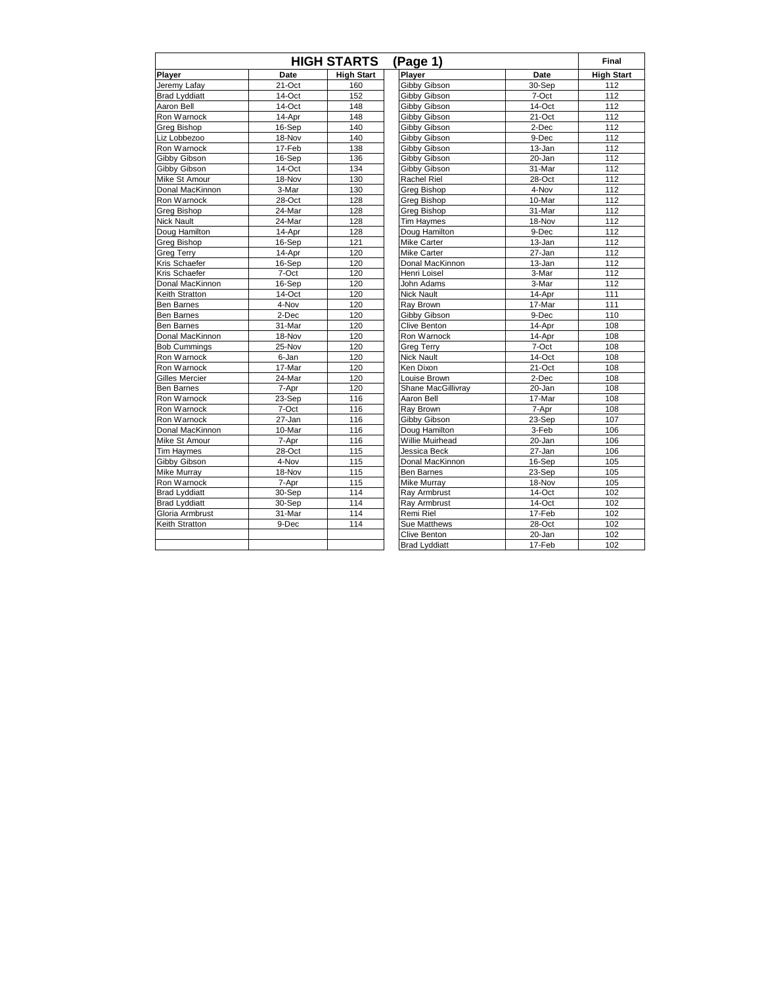|                       |            | <b>HIGH STARTS</b> | (Page 1)             |           | Final             |
|-----------------------|------------|--------------------|----------------------|-----------|-------------------|
| Player                | Date       | <b>High Start</b>  | Player               | Date      | <b>High Start</b> |
| Jeremy Lafay          | $21-Oct$   | 160                | <b>Gibby Gibson</b>  | 30-Sep    | 112               |
| <b>Brad Lyddiatt</b>  | 14-Oct     | 152                | Gibby Gibson         | 7-Oct     | 112               |
| Aaron Bell            | 14-Oct     | 148                | Gibby Gibson         | 14-Oct    | 112               |
| Ron Warnock           | 14-Apr     | 148                | Gibby Gibson         | 21-Oct    | 112               |
| <b>Greg Bishop</b>    | 16-Sep     | 140                | Gibby Gibson         | 2-Dec     | 112               |
| Liz Lobbezoo          | 18-Nov     | 140                | Gibby Gibson         | 9-Dec     | 112               |
| Ron Warnock           | 17-Feb     | 138                | Gibby Gibson         | 13-Jan    | 112               |
| Gibby Gibson          | 16-Sep     | 136                | Gibby Gibson         | 20-Jan    | 112               |
| Gibby Gibson          | 14-Oct     | 134                | Gibby Gibson         | 31-Mar    | 112               |
| Mike St Amour         | 18-Nov     | 130                | Rachel Riel          | 28-Oct    | 112               |
| Donal MacKinnon       | 3-Mar      | 130                | Greg Bishop          | 4-Nov     | 112               |
| Ron Warnock           | 28-Oct     | 128                | <b>Greg Bishop</b>   | 10-Mar    | 112               |
| <b>Greg Bishop</b>    | 24-Mar     | 128                | Greg Bishop          | 31-Mar    | 112               |
| <b>Nick Nault</b>     | 24-Mar     | 128                | <b>Tim Haymes</b>    | 18-Nov    | 112               |
| Doug Hamilton         | 14-Apr     | 128                | Doug Hamilton        | 9-Dec     | 112               |
| <b>Greg Bishop</b>    | 16-Sep     | 121                | <b>Mike Carter</b>   | 13-Jan    | 112               |
| <b>Greg Terry</b>     | 14-Apr     | 120                | <b>Mike Carter</b>   | 27-Jan    | 112               |
| Kris Schaefer         | 16-Sep     | 120                | Donal MacKinnon      | 13-Jan    | 112               |
| Kris Schaefer         | 7-Oct      | 120                | Henri Loisel         | 3-Mar     | 112               |
| Donal MacKinnon       | 16-Sep     | 120                | John Adams           | 3-Mar     | 112               |
| Keith Stratton        | 14-Oct     | 120                | <b>Nick Nault</b>    | 14-Apr    | 111               |
| <b>Ben Barnes</b>     | 4-Nov      | 120                | Rav Brown            | 17-Mar    | 111               |
| <b>Ben Barnes</b>     | 2-Dec      | 120                | Gibby Gibson         | 9-Dec     | 110               |
| Ben Barnes            | 31-Mar     | 120                | Clive Benton         | 14-Apr    | 108               |
| Donal MacKinnon       | 18-Nov     | 120                | Ron Warnock          | 14-Apr    | 108               |
| <b>Bob Cummings</b>   | $25 - Nov$ | 120                | <b>Greg Terry</b>    | 7-Oct     | 108               |
| Ron Warnock           | 6-Jan      | 120                | <b>Nick Nault</b>    | 14-Oct    | 108               |
| Ron Warnock           | 17-Mar     | 120                | Ken Dixon            | $21-Oct$  | 108               |
| <b>Gilles Mercier</b> | 24-Mar     | 120                | Louise Brown         | 2-Dec     | 108               |
| <b>Ben Barnes</b>     | 7-Apr      | 120                | Shane MacGillivray   | 20-Jan    | 108               |
| Ron Warnock           | 23-Sep     | 116                | Aaron Bell           | 17-Mar    | 108               |
| Ron Warnock           | 7-Oct      | 116                | Rav Brown            | 7-Apr     | 108               |
| Ron Warnock           | 27-Jan     | 116                | Gibby Gibson         | 23-Sep    | 107               |
| Donal MacKinnon       | 10-Mar     | 116                | Doug Hamilton        | 3-Feb     | 106               |
| Mike St Amour         | 7-Apr      | 116                | Willie Muirhead      | 20-Jan    | 106               |
| <b>Tim Haymes</b>     | 28-Oct     | 115                | Jessica Beck         | 27-Jan    | 106               |
| Gibby Gibson          | 4-Nov      | 115                | Donal MacKinnon      | 16-Sep    | 105               |
| <b>Mike Murray</b>    | 18-Nov     | 115                | <b>Ben Barnes</b>    | 23-Sep    | 105               |
| Ron Warnock           | 7-Apr      | 115                | Mike Murray          | 18-Nov    | 105               |
| <b>Brad Lyddiatt</b>  | 30-Sep     | 114                | Ray Armbrust         | $14$ -Oct | 102               |
| <b>Brad Lyddiatt</b>  | 30-Sep     | 114                | Ray Armbrust         | 14-Oct    | 102               |
| Gloria Armbrust       | 31-Mar     | 114                | Remi Riel            | 17-Feb    | 102               |
| Keith Stratton        | 9-Dec      | 114                | <b>Sue Matthews</b>  | 28-Oct    | 102               |
|                       |            |                    | Clive Benton         | 20-Jan    | 102               |
|                       |            |                    | <b>Brad Lyddiatt</b> | 17-Feb    | 102               |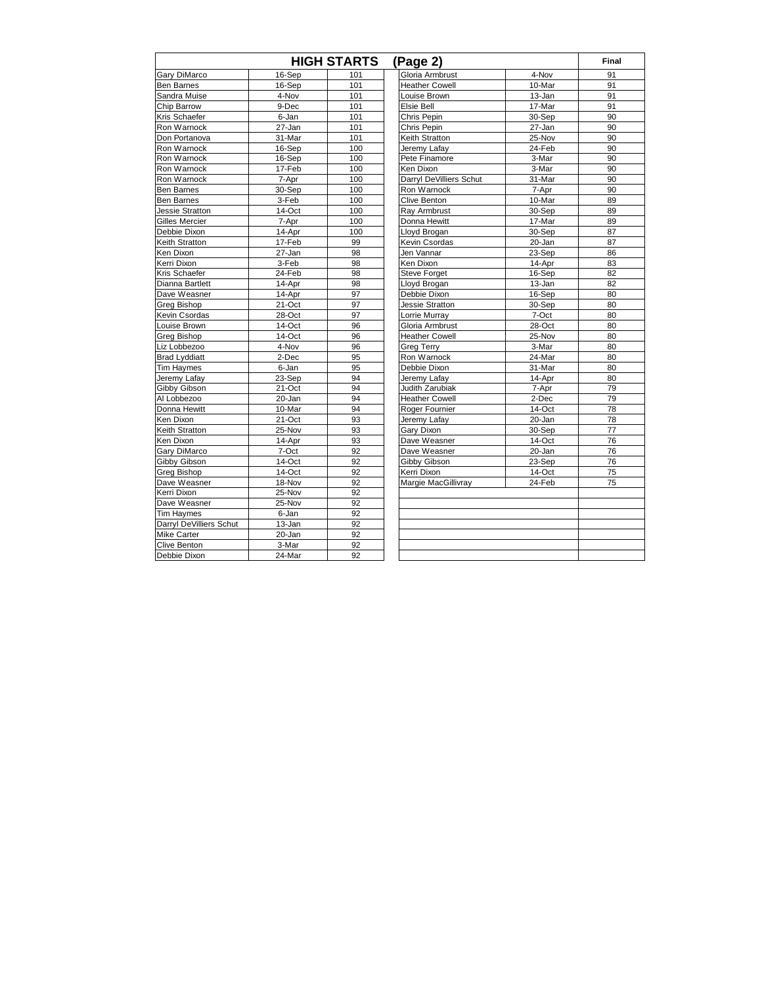|                         |        | <b>HIGH STARTS</b> | (Page 2)                |        | Final |
|-------------------------|--------|--------------------|-------------------------|--------|-------|
| Gary DiMarco            | 16-Sep | 101                | Gloria Armbrust         | 4-Nov  | 91    |
| <b>Ben Barnes</b>       | 16-Sep | 101                | <b>Heather Cowell</b>   | 10-Mar | 91    |
| Sandra Muise            | 4-Nov  | 101                | Louise Brown            | 13-Jan | 91    |
| Chip Barrow             | 9-Dec  | 101                | Elsie Bell              | 17-Mar | 91    |
| Kris Schaefer           | 6-Jan  | 101                | Chris Pepin             | 30-Sep | 90    |
| Ron Warnock             | 27-Jan | 101                | Chris Pepin             | 27-Jan | 90    |
| Don Portanova           | 31-Mar | 101                | Keith Stratton          | 25-Nov | 90    |
| Ron Warnock             | 16-Sep | 100                | Jeremy Lafay            | 24-Feb | 90    |
| Ron Warnock             | 16-Sep | 100                | Pete Finamore           | 3-Mar  | 90    |
| Ron Warnock             | 17-Feb | 100                | Ken Dixon               | 3-Mar  | 90    |
| Ron Warnock             | 7-Apr  | 100                | Darryl DeVilliers Schut | 31-Mar | 90    |
| <b>Ben Barnes</b>       | 30-Sep | 100                | Ron Warnock             | 7-Apr  | 90    |
| <b>Ben Barnes</b>       | 3-Feb  | 100                | Clive Benton            | 10-Mar | 89    |
| Jessie Stratton         | 14-Oct | 100                | Ray Armbrust            | 30-Sep | 89    |
| <b>Gilles Mercier</b>   | 7-Apr  | 100                | Donna Hewitt            | 17-Mar | 89    |
| Debbie Dixon            | 14-Apr | 100                | Lloyd Brogan            | 30-Sep | 87    |
| Keith Stratton          | 17-Feb | 99                 | Kevin Csordas           | 20-Jan | 87    |
| Ken Dixon               | 27-Jan | 98                 | Jen Vannar              | 23-Sep | 86    |
| Kerri Dixon             | 3-Feb  | 98                 | Ken Dixon               | 14-Apr | 83    |
| Kris Schaefer           | 24-Feb | 98                 | <b>Steve Forget</b>     | 16-Sep | 82    |
| Dianna Bartlett         | 14-Apr | 98                 | Lloyd Brogan            | 13-Jan | 82    |
| Dave Weasner            | 14-Apr | 97                 | Debbie Dixon            | 16-Sep | 80    |
| <b>Greg Bishop</b>      | 21-Oct | 97                 | <b>Jessie Stratton</b>  | 30-Sep | 80    |
| Kevin Csordas           | 28-Oct | 97                 | Lorrie Murray           | 7-Oct  | 80    |
| Louise Brown            | 14-Oct | 96                 | Gloria Armbrust         | 28-Oct | 80    |
| Greg Bishop             | 14-Oct | 96                 | <b>Heather Cowell</b>   | 25-Nov | 80    |
| Liz Lobbezoo            | 4-Nov  | 96                 | <b>Greg Terry</b>       | 3-Mar  | 80    |
| <b>Brad Lyddiatt</b>    | 2-Dec  | 95                 | Ron Warnock             | 24-Mar | 80    |
| Tim Haymes              | 6-Jan  | 95                 | Debbie Dixon            | 31-Mar | 80    |
| Jeremy Lafay            | 23-Sep | 94                 | Jeremy Lafay            | 14-Apr | 80    |
| Gibby Gibson            | 21-Oct | 94                 | Judith Zarubiak         | 7-Apr  | 79    |
| Al Lobbezoo             | 20-Jan | 94                 | <b>Heather Cowell</b>   | 2-Dec  | 79    |
| Donna Hewitt            | 10-Mar | 94                 | Roger Fournier          | 14-Oct | 78    |
| Ken Dixon               | 21-Oct | 93                 | Jeremy Lafay            | 20-Jan | 78    |
| Keith Stratton          | 25-Nov | 93                 | Gary Dixon              | 30-Sep | 77    |
| Ken Dixon               | 14-Apr | 93                 | Dave Weasner            | 14-Oct | 76    |
| Gary DiMarco            | 7-Oct  | 92                 | Dave Weasner            | 20-Jan | 76    |
| Gibby Gibson            | 14-Oct | 92                 | Gibby Gibson            | 23-Sep | 76    |
| Greg Bishop             | 14-Oct | 92                 | Kerri Dixon             | 14-Oct | 75    |
| Dave Weasner            | 18-Nov | 92                 | Margie MacGillivray     | 24-Feb | 75    |
| Kerri Dixon             | 25-Nov | 92                 |                         |        |       |
| Dave Weasner            | 25-Nov | 92                 |                         |        |       |
| <b>Tim Havmes</b>       | 6-Jan  | 92                 |                         |        |       |
| Darryl DeVilliers Schut | 13-Jan | 92                 |                         |        |       |
| <b>Mike Carter</b>      | 20-Jan | 92                 |                         |        |       |
| <b>Clive Benton</b>     | 3-Mar  | 92                 |                         |        |       |
| Debbie Dixon            | 24-Mar | 92                 |                         |        |       |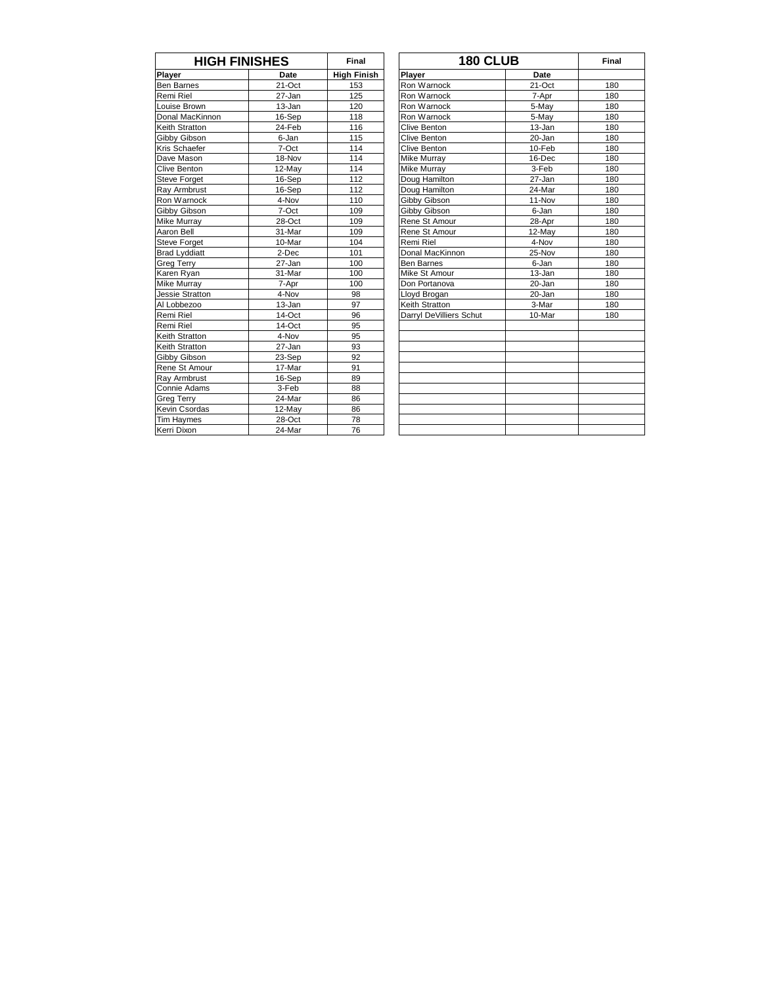| <b>HIGH FINISHES</b> |           | Final              | <b>180 CLUB</b>         |            | Final |
|----------------------|-----------|--------------------|-------------------------|------------|-------|
| <b>Player</b>        | Date      | <b>High Finish</b> | Player                  | Date       |       |
| Ben Barnes           | $21-Ort$  | 153                | Ron Warnock             | $21-Ort$   | 180   |
| Remi Riel            | 27-Jan    | 125                | Ron Warnock             | 7-Apr      | 180   |
| Louise Brown         | 13-Jan    | 120                | Ron Warnock             | 5-May      | 180   |
| Donal MacKinnon      | 16-Sep    | 118                | Ron Warnock             | 5-Mav      | 180   |
| Keith Stratton       | 24-Feb    | 116                | Clive Benton            | $13 - Jan$ | 180   |
| Gibby Gibson         | 6-Jan     | 115                | Clive Benton            | 20-Jan     | 180   |
| Kris Schaefer        | 7-Oct     | 114                | <b>Clive Benton</b>     | 10-Feb     | 180   |
| Dave Mason           | 18-Nov    | 114                | <b>Mike Murrav</b>      | 16-Dec     | 180   |
| Clive Benton         | 12-Mav    | 114                | <b>Mike Murray</b>      | 3-Feb      | 180   |
| Steve Forget         | 16-Sep    | 112                | Doug Hamilton           | 27-Jan     | 180   |
| Ray Armbrust         | 16-Sep    | 112                | Doug Hamilton           | 24-Mar     | 180   |
| Ron Warnock          | 4-Nov     | 110                | Gibby Gibson            | 11-Nov     | 180   |
| Gibby Gibson         | 7-Oct     | 109                | Gibby Gibson            | 6-Jan      | 180   |
| Mike Murray          | 28-Oct    | 109                | Rene St Amour           | 28-Apr     | 180   |
| Aaron Bell           | 31-Mar    | 109                | Rene St Amour           | 12-May     | 180   |
| Steve Forget         | 10-Mar    | 104                | Remi Riel               | 4-Nov      | 180   |
| <b>Brad Lyddiatt</b> | 2-Dec     | 101                | Donal MacKinnon         | 25-Nov     | 180   |
| Greg Terry           | 27-Jan    | 100                | <b>Ben Barnes</b>       | 6-Jan      | 180   |
| Karen Ryan           | 31-Mar    | 100                | Mike St Amour           | 13-Jan     | 180   |
| Mike Murray          | 7-Apr     | 100                | Don Portanova           | $20 - Jan$ | 180   |
| Jessie Stratton      | 4-Nov     | 98                 | Lloyd Brogan            | 20-Jan     | 180   |
| Al Lobbezoo          | 13-Jan    | 97                 | <b>Keith Stratton</b>   | 3-Mar      | 180   |
| Remi Riel            | $14$ -Oct | 96                 | Darryl DeVilliers Schut | 10-Mar     | 180   |
| Remi Riel            | 14-Oct    | 95                 |                         |            |       |
| Keith Stratton       | 4-Nov     | 95                 |                         |            |       |
| Keith Stratton       | 27-Jan    | 93                 |                         |            |       |
| Gibby Gibson         | 23-Sep    | 92                 |                         |            |       |
| Rene St Amour        | 17-Mar    | 91                 |                         |            |       |
| Ray Armbrust         | 16-Sep    | 89                 |                         |            |       |
| Connie Adams         | 3-Feb     | 88                 |                         |            |       |
| <b>Greg Terry</b>    | 24-Mar    | 86                 |                         |            |       |
| Kevin Csordas        | 12-May    | 86                 |                         |            |       |
| Tim Haymes           | 28-Oct    | 78                 |                         |            |       |
| Kerri Dixon          | 24-Mar    | 76                 |                         |            |       |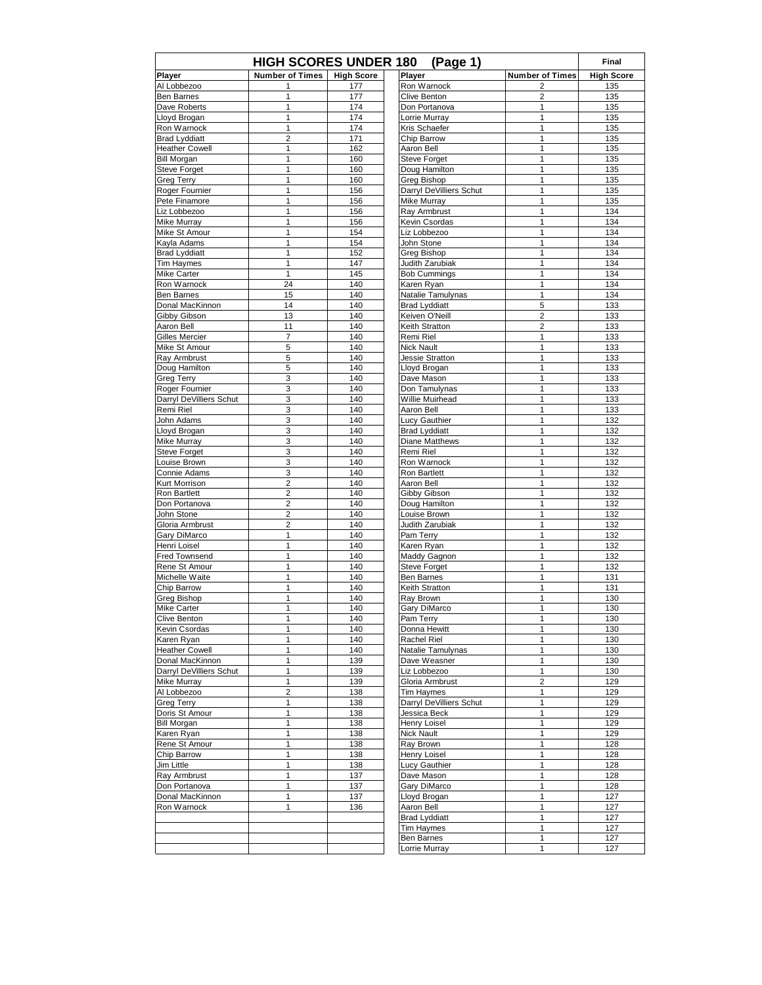|                                 | <b>HIGH SCORES UNDER 180</b> |                   | (Page 1)                               |                        | Final             |
|---------------------------------|------------------------------|-------------------|----------------------------------------|------------------------|-------------------|
| Player                          | <b>Number of Times</b>       | <b>High Score</b> | Player                                 | <b>Number of Times</b> | <b>High Score</b> |
| Al Lobbezoo                     |                              | 177               | Ron Warnock                            | 2                      | 135               |
| <b>Ben Barnes</b>               | 1                            | 177               | Clive Benton                           | 2                      | 135               |
| Dave Roberts                    | 1<br>1                       | 174               | Don Portanova                          | 1<br>1                 | 135               |
| Lloyd Brogan<br>Ron Warnock     | 1                            | 174<br>174        | Lorrie Murray<br>Kris Schaefer         | 1                      | 135<br>135        |
| <b>Brad Lyddiatt</b>            | $\overline{2}$               | 171               | Chip Barrow                            | 1                      | 135               |
| <b>Heather Cowell</b>           | 1                            | 162               | Aaron Bell                             | 1                      | 135               |
| <b>Bill Morgan</b>              | 1                            | 160               | Steve Forget                           | 1                      | 135               |
| <b>Steve Forget</b>             | 1                            | 160               | Doug Hamilton                          | 1                      | 135               |
| <b>Greg Terry</b>               | 1                            | 160               | Greg Bishop                            | 1                      | 135               |
| Roger Fournier                  | 1                            | 156               | Darryl DeVilliers Schut                | 1                      | 135               |
| Pete Finamore                   | 1                            | 156               | Mike Murray                            | 1<br>1                 | 135               |
| Liz Lobbezoo<br>Mike Murray     | 1<br>1                       | 156<br>156        | Ray Armbrust<br>Kevin Csordas          | 1                      | 134<br>134        |
| Mike St Amour                   | 1                            | 154               | Liz Lobbezoo                           | 1                      | 134               |
| Kayla Adams                     | 1                            | 154               | John Stone                             | 1                      | 134               |
| <b>Brad Lyddiatt</b>            | 1                            | 152               | Greg Bishop                            | 1                      | 134               |
| <b>Tim Haymes</b>               | 1                            | 147               | Judith Zarubiak                        | 1                      | 134               |
| <b>Mike Carter</b>              | $\mathbf{1}$                 | 145               | <b>Bob Cummings</b>                    | 1                      | 134               |
| Ron Warnock                     | 24                           | 140               | Karen Ryan                             | 1                      | 134               |
| <b>Ben Barnes</b>               | 15                           | 140               | Natalie Tamulynas                      | 1                      | 134               |
| Donal MacKinnon                 | 14<br>13                     | 140<br>140        | <b>Brad Lyddiatt</b><br>Keiven O'Neill | 5<br>2                 | 133<br>133        |
| Gibby Gibson<br>Aaron Bell      | 11                           | 140               | Keith Stratton                         | 2                      | 133               |
| <b>Gilles Mercier</b>           | 7                            | 140               | Remi Riel                              | 1                      | 133               |
| Mike St Amour                   | 5                            | 140               | <b>Nick Nault</b>                      | 1                      | 133               |
| Ray Armbrust                    | 5                            | 140               | Jessie Stratton                        | 1                      | 133               |
| Doug Hamilton                   | 5                            | 140               | Lloyd Brogan                           | 1                      | 133               |
| <b>Greg Terry</b>               | 3                            | 140               | Dave Mason                             | 1                      | 133               |
| Roger Fournier                  | 3                            | 140               | Don Tamulynas                          | 1                      | 133               |
| Darryl DeVilliers Schut         | 3                            | 140               | Willie Muirhead                        | 1                      | 133               |
| Remi Riel                       | 3                            | 140               | Aaron Bell                             | 1                      | 133               |
| John Adams                      | 3<br>3                       | 140<br>140        | Lucy Gauthier<br><b>Brad Lyddiatt</b>  | 1<br>1                 | 132<br>132        |
| Lloyd Brogan<br>Mike Murray     | 3                            | 140               | Diane Matthews                         | 1                      | 132               |
| <b>Steve Forget</b>             | 3                            | 140               | Remi Riel                              | 1                      | 132               |
| Louise Brown                    | 3                            | 140               | Ron Warnock                            | $\mathbf{1}$           | 132               |
| Connie Adams                    | 3                            | 140               | Ron Bartlett                           | 1                      | 132               |
| Kurt Morrison                   | $\overline{2}$               | 140               | Aaron Bell                             | 1                      | 132               |
| Ron Bartlett                    | 2                            | 140               | Gibby Gibson                           | 1                      | 132               |
| Don Portanova                   | $\overline{\mathbf{c}}$      | 140               | Doug Hamilton                          | 1                      | 132               |
| John Stone                      | $\overline{2}$               | 140               | Louise Brown                           | $\mathbf{1}$           | 132               |
| Gloria Armbrust<br>Gary DiMarco | $\overline{2}$<br>1          | 140<br>140        | Judith Zarubiak<br>Pam Terry           | 1<br>1                 | 132<br>132        |
| Henri Loisel                    | 1                            | 140               | Karen Ryan                             | 1                      | 132               |
| <b>Fred Townsend</b>            | 1                            | 140               | Maddy Gagnon                           | 1                      | 132               |
| Rene St Amour                   | 1                            | 140               | <b>Steve Forget</b>                    | 1                      | 132               |
| Michelle Waite                  | 1                            | 140               | Ben Barnes                             | 1                      | 131               |
| Chip Barrow                     | 1                            | 140               | Keith Stratton                         | 1                      | 131               |
| Greg Bishop                     | 1                            | 140               | Ray Brown                              | 1                      | 130               |
| Mike Carter                     | 1                            | 140               | Gary DiMarco                           | 1                      | 130               |
| Clive Benton<br>Kevin Csordas   | 1<br>1                       | 140<br>140        | Pam Terry<br>Donna Hewitt              | 1<br>1                 | 130<br>130        |
| Karen Ryan                      | 1                            | 140               | Rachel Riel                            | 1                      | 130               |
| <b>Heather Cowell</b>           | 1                            | 140               | Natalie Tamulynas                      | 1                      | 130               |
| Donal MacKinnon                 | 1                            | 139               | Dave Weasner                           | $\mathbf{1}$           | 130               |
| Darryl DeVilliers Schut         | 1                            | 139               | Liz Lobbezoo                           | 1                      | 130               |
| Mike Murray                     | 1                            | 139               | Gloria Armbrust                        | $\overline{c}$         | 129               |
| Al Lobbezoo                     | $\overline{2}$               | 138               | Tim Haymes                             | 1                      | 129               |
| Greg Terry                      | 1                            | 138               | Darryl DeVilliers Schut                | 1                      | 129               |
| Doris St Amour                  | 1                            | 138               | Jessica Beck                           | 1                      | 129               |
| <b>Bill Morgan</b>              | 1<br>1                       | 138               | Henry Loisel<br><b>Nick Nault</b>      | 1<br>1                 | 129               |
| Karen Ryan<br>Rene St Amour     | 1                            | 138<br>138        | Ray Brown                              | 1                      | 129<br>128        |
| Chip Barrow                     | 1                            | 138               | Henry Loisel                           | 1                      | 128               |
| Jim Little                      | 1                            | 138               | Lucy Gauthier                          | 1                      | 128               |
| Ray Armbrust                    | 1                            | 137               | Dave Mason                             | 1                      | 128               |
| Don Portanova                   | 1                            | 137               | Gary DiMarco                           | 1                      | 128               |
| Donal MacKinnon                 | 1                            | 137               | Lloyd Brogan                           | 1                      | 127               |
| Ron Warnock                     | 1                            | 136               | Aaron Bell                             | 1                      | 127               |
|                                 |                              |                   | <b>Brad Lyddiatt</b>                   | 1                      | 127               |
|                                 |                              |                   | <b>Tim Haymes</b>                      | 1                      | 127               |
|                                 |                              |                   | Ben Barnes<br>Lorrie Murray            | 1<br>$\mathbf{1}$      | 127<br>127        |
|                                 |                              |                   |                                        |                        |                   |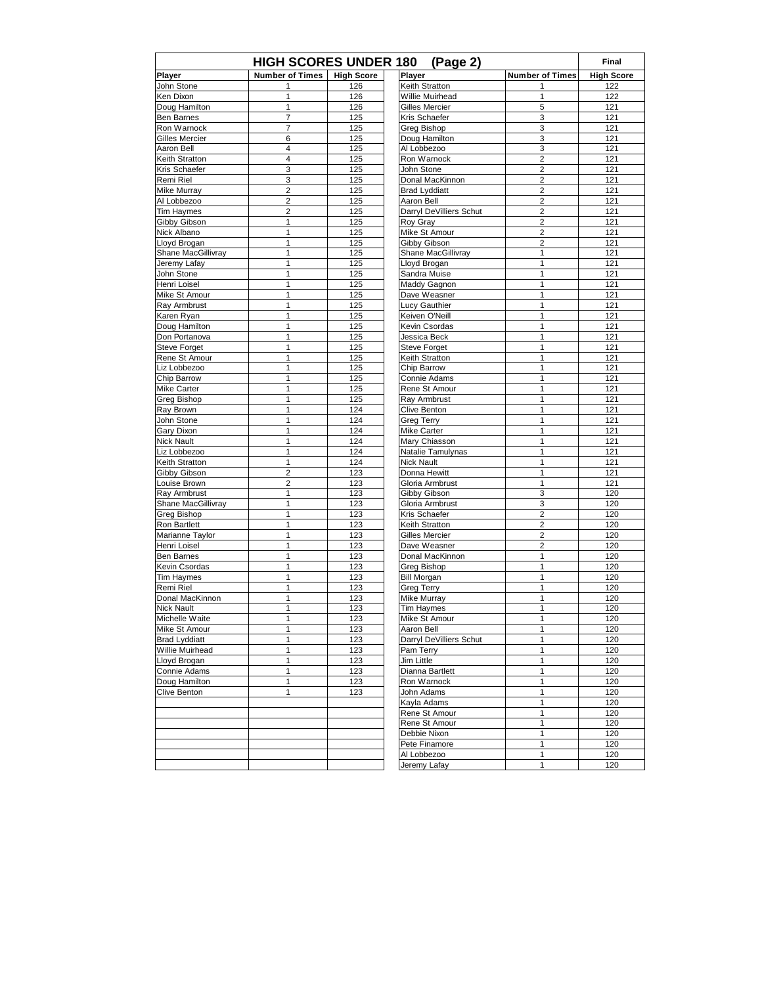| <b>HIGH SCORES UNDER 180</b><br>(Page 2) |                         |                   |                                        |                              |                   |  |
|------------------------------------------|-------------------------|-------------------|----------------------------------------|------------------------------|-------------------|--|
| Player                                   | <b>Number of Times</b>  | <b>High Score</b> | Player                                 | <b>Number of Times</b>       | <b>High Score</b> |  |
| John Stone                               |                         | 126               | Keith Stratton                         |                              | 122               |  |
| Ken Dixon                                | 1                       | 126               | Willie Muirhead                        | 1                            | 122               |  |
| Doug Hamilton                            | 1                       | 126               | <b>Gilles Mercier</b>                  | 5                            | 121               |  |
| <b>Ben Barnes</b>                        | 7                       | 125               | Kris Schaefer                          | 3                            | 121               |  |
| Ron Warnock                              | 7                       | 125               | Greg Bishop                            | 3                            | 121               |  |
| <b>Gilles Mercier</b>                    | 6                       | 125               | Doug Hamilton                          | 3                            | 121               |  |
| Aaron Bell                               | $\overline{4}$          | 125               | Al Lobbezoo                            | 3                            | 121               |  |
| Keith Stratton                           | $\overline{4}$          | 125               | Ron Warnock                            | $\overline{\mathbf{c}}$      | 121               |  |
| Kris Schaefer                            | 3                       | 125               | John Stone                             | 2                            | 121               |  |
| Remi Riel                                | 3                       | 125               | Donal MacKinnon                        | 2                            | 121               |  |
| Mike Murray                              | $\overline{\mathbf{c}}$ | 125               | <b>Brad Lyddiatt</b>                   | $\overline{\mathbf{c}}$      | 121               |  |
| Al Lobbezoo<br><b>Tim Haymes</b>         | $\overline{2}$<br>2     | 125               | Aaron Bell                             | 2                            | 121               |  |
| Gibby Gibson                             | 1                       | 125<br>125        | Darryl DeVilliers Schut<br>Roy Gray    | $\overline{\mathbf{c}}$<br>2 | 121<br>121        |  |
| Nick Albano                              | 1                       | 125               | Mike St Amour                          | 2                            | 121               |  |
| Lloyd Brogan                             | 1                       | 125               | Gibby Gibson                           | $\overline{2}$               | 121               |  |
| Shane MacGillivray                       | 1                       | 125               | Shane MacGillivray                     | 1                            | 121               |  |
| Jeremy Lafay                             | 1                       | 125               | Lloyd Brogan                           | 1                            | 121               |  |
| John Stone                               | 1                       | 125               | Sandra Muise                           | 1                            | 121               |  |
| Henri Loisel                             | 1                       | 125               | Maddy Gagnon                           | 1                            | 121               |  |
| Mike St Amour                            | 1                       | 125               | Dave Weasner                           | 1                            | 121               |  |
| Ray Armbrust                             | 1                       | 125               | Lucy Gauthier                          | 1                            | 121               |  |
| Karen Ryan                               | 1                       | 125               | Keiven O'Neill                         | 1                            | 121               |  |
| Doug Hamilton                            | 1                       | 125               | Kevin Csordas                          | 1                            | 121               |  |
| Don Portanova                            | 1                       | 125               | Jessica Beck                           | 1                            | 121               |  |
| <b>Steve Forget</b>                      | 1                       | 125               | <b>Steve Forget</b>                    | 1                            | 121               |  |
| Rene St Amour                            | 1                       | 125               | Keith Stratton                         | 1                            | 121               |  |
| Liz Lobbezoo                             | 1                       | 125               | Chip Barrow                            | 1                            | 121               |  |
| Chip Barrow                              | 1                       | 125               | Connie Adams                           | 1                            | 121               |  |
| Mike Carter                              | 1                       | 125               | Rene St Amour                          | 1                            | 121               |  |
| Greg Bishop                              | 1                       | 125               | Rav Armbrust                           | 1                            | 121               |  |
| Ray Brown                                | 1                       | 124               | Clive Benton                           | 1                            | 121               |  |
| John Stone                               | 1                       | 124               | Greg Terry                             | 1                            | 121               |  |
| Gary Dixon                               | 1                       | 124               | <b>Mike Carter</b>                     | 1                            | 121               |  |
| Nick Nault                               | 1<br>1                  | 124               | Mary Chiasson                          | 1<br>1                       | 121<br>121        |  |
| Liz Lobbezoo<br>Keith Stratton           | 1                       | 124<br>124        | Natalie Tamulynas<br><b>Nick Nault</b> | 1                            | 121               |  |
| Gibby Gibson                             | $\overline{2}$          | 123               | Donna Hewitt                           | 1                            | 121               |  |
| Louise Brown                             | $\overline{2}$          | 123               | Gloria Armbrust                        | 1                            | 121               |  |
| Ray Armbrust                             | 1                       | 123               | Gibby Gibson                           | 3                            | 120               |  |
| Shane MacGillivray                       | 1                       | 123               | Gloria Armbrust                        | 3                            | 120               |  |
| Greg Bishop                              | 1                       | 123               | Kris Schaefer                          | 2                            | 120               |  |
| Ron Bartlett                             | 1                       | 123               | Keith Stratton                         | $\overline{\mathbf{c}}$      | 120               |  |
| Marianne Taylor                          | 1                       | 123               | <b>Gilles Mercier</b>                  | 2                            | 120               |  |
| Henri Loisel                             | 1                       | 123               | Dave Weasner                           | 2                            | 120               |  |
| Ben Barnes                               | 1                       | 123               | Donal MacKinnon                        | 1                            | 120               |  |
| Kevin Csordas                            | 1                       | 123               | Greg Bishop                            | 1                            | 120               |  |
| <b>Tim Haymes</b>                        | 1                       | 123               | <b>Bill Morgan</b>                     | 1                            | 120               |  |
| Remi Riel                                | 1                       | 123               | Greg Terry                             | 1                            | 120               |  |
| Donal MacKinnon                          | 1                       | 123               | Mike Murray                            | 1                            | 120               |  |
| <b>Nick Nault</b>                        | 1                       | 123               | <b>Tim Haymes</b>                      | 1                            | 120               |  |
| Michelle Waite                           | 1                       | 123               | Mike St Amour                          | 1                            | 120               |  |
| Mike St Amour                            | 1                       | 123               | Aaron Bell                             | 1                            | 120               |  |
| <b>Brad Lyddiatt</b>                     | 1                       | 123               | Darryl DeVilliers Schut                | 1                            | 120               |  |
| Willie Muirhead                          | 1                       | 123               | Pam Terry                              | 1                            | 120               |  |
| Lloyd Brogan                             | 1                       | 123               | Jim Little                             | 1                            | 120               |  |
| Connie Adams                             | $\mathbf{1}$            | 123               | Dianna Bartlett                        | 1                            | 120               |  |
| Doug Hamilton<br>Clive Benton            | 1<br>1                  | 123<br>123        | Ron Warnock<br>John Adams              | 1<br>1                       | 120               |  |
|                                          |                         |                   | Kayla Adams                            | 1                            | 120<br>120        |  |
|                                          |                         |                   | Rene St Amour                          | 1                            | 120               |  |
|                                          |                         |                   | Rene St Amour                          | 1                            | 120               |  |
|                                          |                         |                   | Debbie Nixon                           | 1                            | 120               |  |
|                                          |                         |                   | Pete Finamore                          | 1                            | 120               |  |
|                                          |                         |                   | Al Lobbezoo                            | 1                            | 120               |  |
|                                          |                         |                   | Jeremy Lafay                           | 1                            | 120               |  |
|                                          |                         |                   |                                        |                              |                   |  |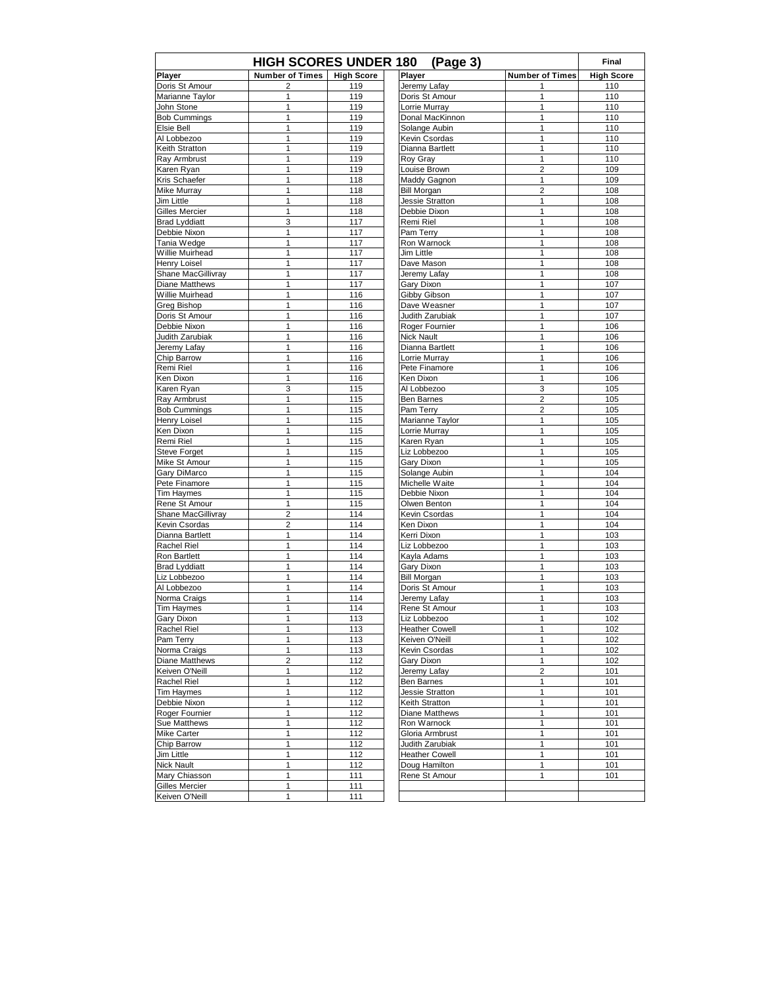| <b>HIGH SCORES UNDER 180</b><br>(Page 3) |                         |                   |                        |                        |                   |  |
|------------------------------------------|-------------------------|-------------------|------------------------|------------------------|-------------------|--|
| Player                                   | <b>Number of Times</b>  | <b>High Score</b> | Player                 | <b>Number of Times</b> | <b>High Score</b> |  |
| Doris St Amour                           | 2                       | 119               | Jeremy Lafay           | 1                      | 110               |  |
| Marianne Taylor                          | 1                       | 119               | Doris St Amour         | 1                      | 110               |  |
| John Stone                               | 1                       | 119               | Lorrie Murray          | 1                      | 110               |  |
| <b>Bob Cummings</b>                      | 1                       | 119               | Donal MacKinnon        | 1                      | 110               |  |
| Elsie Bell                               | 1                       | 119               | Solange Aubin          | $\mathbf{1}$           | 110               |  |
| Al Lobbezoo                              | 1                       | 119               | Kevin Csordas          | 1                      | 110               |  |
| Keith Stratton                           | 1                       | 119               | Dianna Bartlett        | 1                      | 110               |  |
| Ray Armbrust                             | 1                       | 119               | Roy Gray               | 1                      | 110               |  |
| Karen Ryan                               | 1                       | 119               | Louise Brown           | $\overline{2}$         | 109               |  |
| Kris Schaefer                            | 1                       | 118               | Maddy Gagnon           | 1                      | 109               |  |
| <b>Mike Murrav</b>                       | 1                       | 118               | <b>Bill Morgan</b>     | $\overline{2}$         | 108               |  |
| Jim Little                               | 1                       | 118               | Jessie Stratton        | 1                      | 108               |  |
| Gilles Mercier                           | 1                       | 118               | Debbie Dixon           | 1                      | 108               |  |
| <b>Brad Lyddiatt</b>                     | 3                       | 117               | Remi Riel              | 1                      | 108               |  |
| Debbie Nixon                             | 1                       | 117               | Pam Terry              | $\mathbf{1}$           | 108               |  |
| Tania Wedge                              | 1                       | 117               | Ron Warnock            | 1                      | 108               |  |
| Willie Muirhead                          | 1                       | 117               | Jim Little             | 1                      | 108               |  |
| <b>Henry Loisel</b>                      | 1                       | 117               | Dave Mason             | 1                      | 108               |  |
| Shane MacGillivray                       | 1                       | 117               | Jeremy Lafay           | 1                      | 108               |  |
| Diane Matthews                           | 1                       | 117               | Gary Dixon             | $\mathbf{1}$           | 107               |  |
| Willie Muirhead                          | 1                       | 116               | Gibby Gibson           | 1                      | 107               |  |
| <b>Greg Bishop</b>                       | 1                       | 116               | Dave Weasner           | 1                      | 107               |  |
| Doris St Amour                           | 1                       | 116               | Judith Zarubiak        | 1                      | 107               |  |
| Debbie Nixon                             | 1                       | 116               | Roger Fournier         | 1                      | 106               |  |
| Judith Zarubiak                          | 1                       | 116               | <b>Nick Nault</b>      | $\mathbf{1}$           | 106               |  |
| Jeremy Lafay                             | 1                       | 116               | Dianna Bartlett        | 1                      | 106               |  |
| Chip Barrow                              | 1                       | 116               | Lorrie Murray          | 1                      | 106               |  |
| Remi Riel                                | 1                       | 116               | Pete Finamore          | 1                      | 106               |  |
| Ken Dixon                                | 1                       | 116               | Ken Dixon              | 1                      | 106               |  |
| Karen Ryan                               | 3                       | 115               | Al Lobbezoo            | 3                      | 105               |  |
| Ray Armbrust                             | 1                       | 115               | Ben Barnes             | $\overline{2}$         | 105               |  |
| <b>Bob Cummings</b>                      | 1                       | 115               | Pam Terry              | $\overline{2}$         | 105               |  |
| Henry Loisel                             | 1                       | 115               | Marianne Taylor        | 1                      | 105               |  |
| Ken Dixon                                | 1                       | 115               | Lorrie Murray          | 1                      | 105               |  |
| Remi Riel                                | 1                       | 115               | Karen Ryan             | $\mathbf{1}$           | 105               |  |
| <b>Steve Forget</b>                      | 1                       | 115               | Liz Lobbezoo           | 1                      | 105               |  |
| Mike St Amour                            | 1                       | 115               | Gary Dixon             | 1                      | 105               |  |
| Gary DiMarco                             | 1                       | 115               | Solange Aubin          | 1                      | 104               |  |
| Pete Finamore                            | 1                       | 115               | Michelle Waite         | 1                      | 104               |  |
| <b>Tim Haymes</b>                        | 1                       | 115               | Debbie Nixon           | $\mathbf{1}$           | 104               |  |
| Rene St Amour                            | 1                       | 115               | Olwen Benton           | 1                      | 104               |  |
| Shane MacGillivray                       | $\overline{\mathbf{c}}$ | 114               | Kevin Csordas          | 1                      | 104               |  |
| Kevin Csordas                            | 2                       | 114               | Ken Dixon              | 1                      | 104               |  |
| Dianna Bartlett                          | 1                       | 114               | Kerri Dixon            | 1                      | 103               |  |
| <b>Rachel Riel</b>                       | 1                       | 114               | Liz Lobbezoo           | $\mathbf{1}$           | 103               |  |
| Ron Bartlett                             | 1                       | 114               | Kayla Adams            | 1                      | 103               |  |
| <b>Brad Lyddiatt</b>                     | 1                       | 114               | Gary Dixon             | 1                      | 103               |  |
| Liz Lobbezoo                             | 1                       | 114               | <b>Bill Morgan</b>     | 1                      | 103               |  |
| Al Lobbezoo                              | 1                       | 114               | Doris St Amour         | 1                      | 103               |  |
| Norma Craigs                             | 1                       | 114               | Jeremy Lafay           | 1                      | 103               |  |
| <b>Tim Haymes</b>                        | 1                       | 114               | Rene St Amour          | 1                      | 103               |  |
| Gary Dixon                               | 1                       | 113               | Liz Lobbezoo           | 1                      | 102               |  |
| Rachel Riel                              | 1                       | 113               | <b>Heather Cowell</b>  | 1                      | 102               |  |
| Pam Terry                                | 1                       | 113               | Keiven O'Neill         | 1                      | 102               |  |
| Norma Craigs                             | 1                       | 113               | Kevin Csordas          | $\mathbf{1}$           | 102               |  |
| Diane Matthews                           | $\overline{c}$          | 112               | Gary Dixon             | 1                      | 102               |  |
| Keiven O'Neill                           | 1                       | 112               | Jeremy Lafay           | $\boldsymbol{2}$       | 101               |  |
| Rachel Riel                              | 1                       | 112               | Ben Barnes             | 1                      | 101               |  |
| <b>Tim Haymes</b>                        | 1                       | 112               | <b>Jessie Stratton</b> | 1                      | 101               |  |
| Debbie Nixon                             | 1                       | 112               | Keith Stratton         | 1                      | 101               |  |
| Roger Fournier                           | 1                       | 112               | Diane Matthews         | 1                      | 101               |  |
| Sue Matthews                             | 1                       | 112               | Ron Warnock            | $\mathbf{1}$           | 101               |  |
| Mike Carter                              | 1                       | 112               | Gloria Armbrust        | 1                      | 101               |  |
| Chip Barrow                              | 1                       | 112               | Judith Zarubiak        | 1                      | 101               |  |
| Jim Little                               | 1                       | 112               | <b>Heather Cowell</b>  | $\mathbf{1}$           | 101               |  |
| Nick Nault                               | 1                       | 112               | Doug Hamilton          | 1                      | 101               |  |
| Mary Chiasson                            | 1                       | 111               | Rene St Amour          | 1                      | 101               |  |
| Gilles Mercier                           | 1                       | 111               |                        |                        |                   |  |
| Keiven O'Neill                           | 1                       | 111               |                        |                        |                   |  |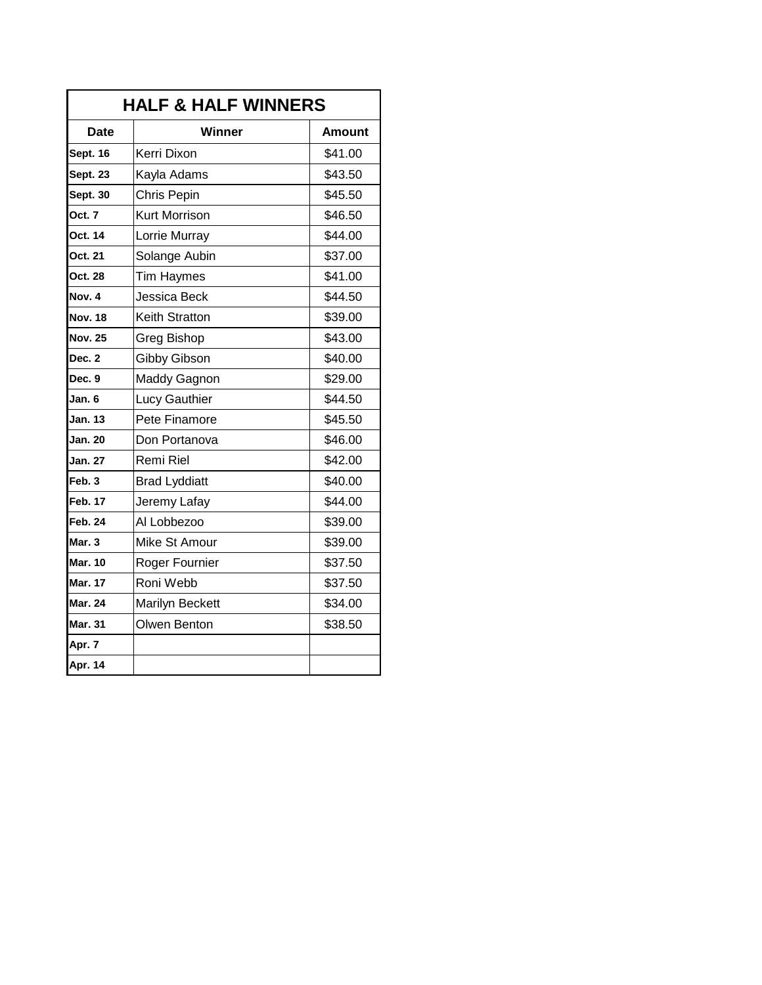|                 | <b>HALF &amp; HALF WINNERS</b> |         |  |  |  |  |  |  |
|-----------------|--------------------------------|---------|--|--|--|--|--|--|
| <b>Date</b>     | Winner                         | Amount  |  |  |  |  |  |  |
| Sept. 16        | Kerri Dixon                    | \$41.00 |  |  |  |  |  |  |
| <b>Sept. 23</b> | Kayla Adams                    | \$43.50 |  |  |  |  |  |  |
| <b>Sept. 30</b> | Chris Pepin                    | \$45.50 |  |  |  |  |  |  |
| Oct. 7          | Kurt Morrison                  | \$46.50 |  |  |  |  |  |  |
| Oct. 14         | Lorrie Murray                  | \$44.00 |  |  |  |  |  |  |
| Oct. 21         | Solange Aubin                  | \$37.00 |  |  |  |  |  |  |
| Oct. 28         | <b>Tim Haymes</b>              | \$41.00 |  |  |  |  |  |  |
| Nov. 4          | Jessica Beck                   | \$44.50 |  |  |  |  |  |  |
| <b>Nov. 18</b>  | Keith Stratton                 | \$39.00 |  |  |  |  |  |  |
| <b>Nov. 25</b>  | Greg Bishop                    | \$43.00 |  |  |  |  |  |  |
| Dec. 2          | Gibby Gibson                   | \$40.00 |  |  |  |  |  |  |
| Dec. 9          | <b>Maddy Gagnon</b>            | \$29.00 |  |  |  |  |  |  |
| Jan. 6          | Lucy Gauthier                  | \$44.50 |  |  |  |  |  |  |
| <b>Jan. 13</b>  | Pete Finamore                  | \$45.50 |  |  |  |  |  |  |
| <b>Jan. 20</b>  | Don Portanova                  | \$46.00 |  |  |  |  |  |  |
| <b>Jan. 27</b>  | Remi Riel                      | \$42.00 |  |  |  |  |  |  |
| Feb. 3          | <b>Brad Lyddiatt</b>           | \$40.00 |  |  |  |  |  |  |
| <b>Feb. 17</b>  | Jeremy Lafay                   | \$44.00 |  |  |  |  |  |  |
| <b>Feb. 24</b>  | Al Lobbezoo                    | \$39.00 |  |  |  |  |  |  |
| Mar. 3          | Mike St Amour                  | \$39.00 |  |  |  |  |  |  |
| <b>Mar. 10</b>  | Roger Fournier                 | \$37.50 |  |  |  |  |  |  |
| <b>Mar. 17</b>  | Roni Webb                      | \$37.50 |  |  |  |  |  |  |
| <b>Mar. 24</b>  | Marilyn Beckett                | \$34.00 |  |  |  |  |  |  |
| <b>Mar. 31</b>  | Olwen Benton                   | \$38.50 |  |  |  |  |  |  |
| Apr. 7          |                                |         |  |  |  |  |  |  |
| <b>Apr. 14</b>  |                                |         |  |  |  |  |  |  |